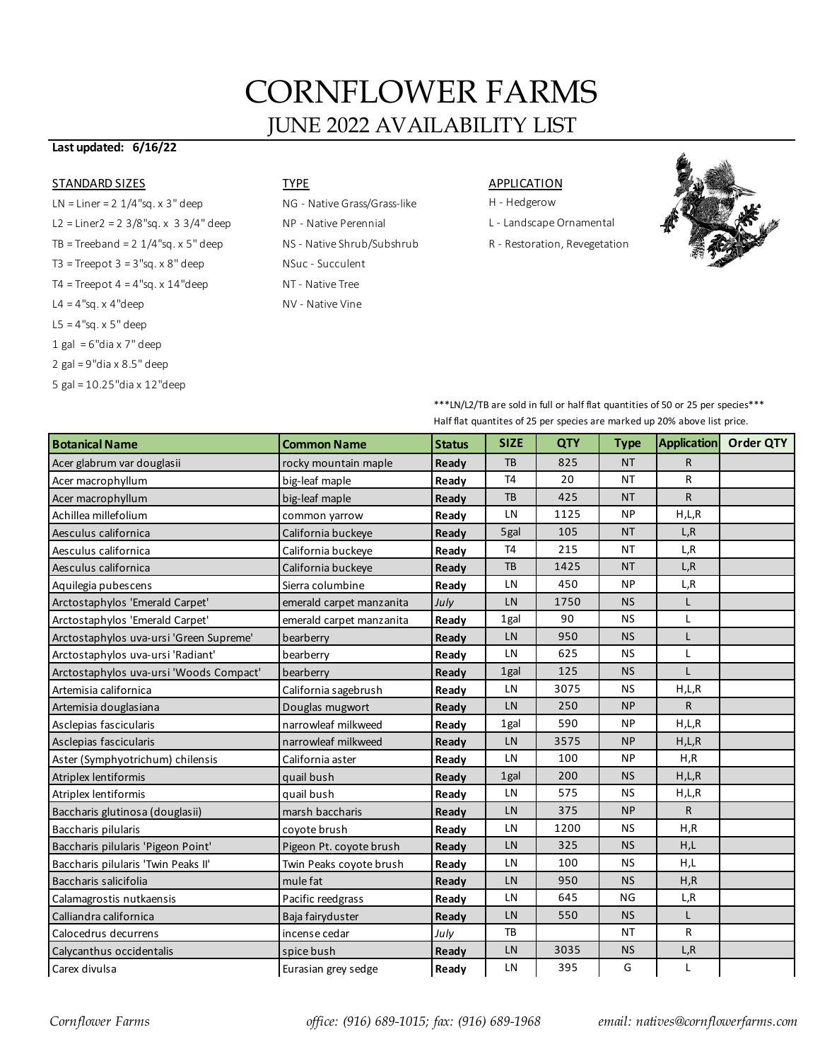# CORNFLOWER FARMS JUNE 2022 AVAILABILITY LIST

### **Last updated: 6/16/22**

### STANDARD SIZES TYPE THE TYPE APPLICATION

- $LN = Linear = 2 \frac{1}{4}$ "sq. x 3" deep  $NG Native Grass/Grass-like$  H Hedgerow L2 = Liner2 = 2 3/8"sq. x 3 3/4" deep NP - Native Perennial L - Landscape Ornamental TB = Treeband = 2 1/4"sq. x 5" deep NS - Native Shrub/Subshrub R - Restoration, Revegetation  $T3$  = Treepot  $3$  =  $3$ "sq. x  $8$ " deep  $NSuc$  - Succulent  $T4 = Treepot 4 = 4"sq. x 14"deep 11"loop 1200$  $L4 = 4"$ sq. x 4"deep  $NV -$  Native Vine L5 = 4"sq. x 5" deep  $1$  gal = 6"dia x 7" deep 2 gal = 9"dia x 8.5" deep
- 5 gal = 10.25"dia x 12"deep

- 
- 
- 



| ***LN/L2/TB are sold in full or half flat quantities of 50 or 25 per species*** |
|---------------------------------------------------------------------------------|
| Half flat quantites of 25 per species are marked up 20% above list price.       |

|                                         |                          | Their not quantities of ES per species are marked up E070 above not pr |                |      |             |                    |           |  |  |
|-----------------------------------------|--------------------------|------------------------------------------------------------------------|----------------|------|-------------|--------------------|-----------|--|--|
| <b>Botanical Name</b>                   | <b>Common Name</b>       | <b>Status</b>                                                          | <b>SIZE</b>    | QTY  | <b>Type</b> | <b>Application</b> | Order QTY |  |  |
| Acer glabrum var douglasii              | rocky mountain maple     | Ready                                                                  | <b>TB</b>      | 825  | <b>NT</b>   | R                  |           |  |  |
| Acer macrophyllum                       | big-leaf maple           | Ready                                                                  | T <sub>4</sub> | 20   | <b>NT</b>   | R                  |           |  |  |
| Acer macrophyllum                       | big-leaf maple           | Ready                                                                  | <b>TB</b>      | 425  | <b>NT</b>   | R                  |           |  |  |
| Achillea millefolium                    | common yarrow            | Ready                                                                  | LN             | 1125 | <b>NP</b>   | H,L,R              |           |  |  |
| Aesculus californica                    | California buckeye       | Ready                                                                  | 5gal           | 105  | <b>NT</b>   | L, R               |           |  |  |
| Aesculus californica                    | California buckeye       | Ready                                                                  | <b>T4</b>      | 215  | ΝT          | L, R               |           |  |  |
| Aesculus californica                    | California buckeye       | Ready                                                                  | TB             | 1425 | <b>NT</b>   | L, R               |           |  |  |
| Aquilegia pubescens                     | Sierra columbine         | Ready                                                                  | LN             | 450  | <b>NP</b>   | L,R                |           |  |  |
| Arctostaphylos 'Emerald Carpet'         | emerald carpet manzanita | July                                                                   | LN             | 1750 | <b>NS</b>   | L                  |           |  |  |
| Arctostaphylos 'Emerald Carpet'         | emerald carpet manzanita | Ready                                                                  | 1gal           | 90   | <b>NS</b>   | Г                  |           |  |  |
| Arctostaphylos uva-ursi 'Green Supreme' | bearberry                | Ready                                                                  | LN             | 950  | <b>NS</b>   | L                  |           |  |  |
| Arctostaphylos uva-ursi 'Radiant'       | bearberry                | Ready                                                                  | LN             | 625  | <b>NS</b>   | L                  |           |  |  |
| Arctostaphylos uva-ursi 'Woods Compact' | bearberry                | Ready                                                                  | 1gal           | 125  | <b>NS</b>   | L                  |           |  |  |
| Artemisia californica                   | California sagebrush     | Ready                                                                  | LN             | 3075 | <b>NS</b>   | H,L,R              |           |  |  |
| Artemisia douglasiana                   | Douglas mugwort          | Ready                                                                  | LN             | 250  | <b>NP</b>   | R                  |           |  |  |
| Asclepias fascicularis                  | narrowleaf milkweed      | Ready                                                                  | 1gal           | 590  | <b>NP</b>   | H,L,R              |           |  |  |
| Asclepias fascicularis                  | narrowleaf milkweed      | Ready                                                                  | LN             | 3575 | <b>NP</b>   | H,L,R              |           |  |  |
| Aster (Symphyotrichum) chilensis        | California aster         | Ready                                                                  | LN             | 100  | <b>NP</b>   | H,R                |           |  |  |
| Atriplex lentiformis                    | quail bush               | Ready                                                                  | 1gal           | 200  | <b>NS</b>   | H,L,R              |           |  |  |
| Atriplex lentiformis                    | quail bush               | Ready                                                                  | LN             | 575  | <b>NS</b>   | H,L,R              |           |  |  |
| Baccharis glutinosa (douglasii)         | marsh baccharis          | Ready                                                                  | LN             | 375  | <b>NP</b>   | R                  |           |  |  |
| Baccharis pilularis                     | coyote brush             | Ready                                                                  | LN             | 1200 | <b>NS</b>   | H, R               |           |  |  |
| Baccharis pilularis 'Pigeon Point'      | Pigeon Pt. coyote brush  | Ready                                                                  | LN             | 325  | <b>NS</b>   | H,L                |           |  |  |
| Baccharis pilularis 'Twin Peaks II'     | Twin Peaks coyote brush  | Ready                                                                  | LN             | 100  | <b>NS</b>   | H,L                |           |  |  |
| Baccharis salicifolia                   | mule fat                 | Ready                                                                  | LN             | 950  | <b>NS</b>   | H, R               |           |  |  |
| Calamagrostis nutkaensis                | Pacific reedgrass        | Ready                                                                  | LN             | 645  | <b>NG</b>   | L,R                |           |  |  |
| Calliandra californica                  | Baja fairyduster         | Ready                                                                  | LN             | 550  | <b>NS</b>   | L                  |           |  |  |
| Calocedrus decurrens                    | incense cedar            | July                                                                   | <b>TB</b>      |      | ΝT          | R                  |           |  |  |
| Calycanthus occidentalis                | spice bush               | Ready                                                                  | LN             | 3035 | <b>NS</b>   | L,R                |           |  |  |
| Carex divulsa                           | Eurasian grey sedge      | Ready                                                                  | LN             | 395  | G           | Г                  |           |  |  |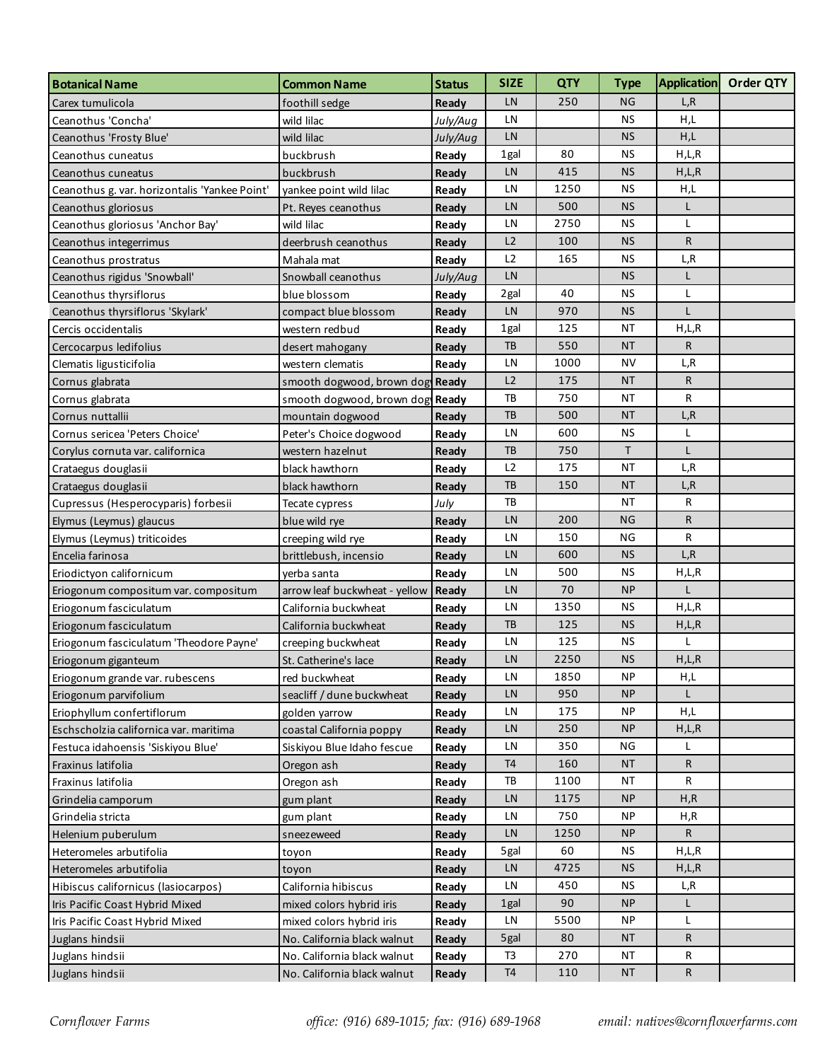| <b>Botanical Name</b>                         | <b>Common Name</b>              | <b>Status</b> | <b>SIZE</b>    | <b>QTY</b> | <b>Type</b> |              | Application Order QTY |
|-----------------------------------------------|---------------------------------|---------------|----------------|------------|-------------|--------------|-----------------------|
| Carex tumulicola                              | foothill sedge                  | Ready         | LN             | 250        | <b>NG</b>   | L, R         |                       |
| Ceanothus 'Concha'                            | wild lilac                      | July/Aug      | LN             |            | <b>NS</b>   | H,L          |                       |
| Ceanothus 'Frosty Blue'                       | wild lilac                      | July/Aug      | LN             |            | <b>NS</b>   | H,L          |                       |
| Ceanothus cuneatus                            | buckbrush                       | Ready         | 1gal           | 80         | <b>NS</b>   | H,L,R        |                       |
| Ceanothus cuneatus                            | buckbrush                       | Ready         | LN             | 415        | <b>NS</b>   | H,L,R        |                       |
| Ceanothus g. var. horizontalis 'Yankee Point' | yankee point wild lilac         | Ready         | LN             | 1250       | <b>NS</b>   | H,L          |                       |
| Ceanothus gloriosus                           | Pt. Reyes ceanothus             | Ready         | LN             | 500        | <b>NS</b>   | L            |                       |
| Ceanothus gloriosus 'Anchor Bay'              | wild lilac                      | Ready         | LN             | 2750       | <b>NS</b>   | L            |                       |
| Ceanothus integerrimus                        | deerbrush ceanothus             | Ready         | L2             | 100        | <b>NS</b>   | R            |                       |
| Ceanothus prostratus                          | Mahala mat                      | Ready         | L2             | 165        | <b>NS</b>   | L, R         |                       |
| Ceanothus rigidus 'Snowball'                  | Snowball ceanothus              | July/Aug      | LN             |            | <b>NS</b>   | L            |                       |
| Ceanothus thyrsiflorus                        | blue blossom                    | Ready         | 2gal           | 40         | <b>NS</b>   | L            |                       |
| Ceanothus thyrsiflorus 'Skylark'              | compact blue blossom            | Ready         | LN             | 970        | <b>NS</b>   | L            |                       |
| Cercis occidentalis                           | western redbud                  | Ready         | 1gal           | 125        | <b>NT</b>   | H,L,R        |                       |
| Cercocarpus ledifolius                        | desert mahogany                 | Ready         | TB             | 550        | <b>NT</b>   | R            |                       |
| Clematis ligusticifolia                       | western clematis                | Ready         | LN             | 1000       | NV          | L,R          |                       |
| Cornus glabrata                               | smooth dogwood, brown dog Ready |               | L2             | 175        | <b>NT</b>   | R            |                       |
| Cornus glabrata                               | smooth dogwood, brown dog Ready |               | TB             | 750        | ΝT          | R            |                       |
| Cornus nuttallii                              | mountain dogwood                | Ready         | TB             | 500        | <b>NT</b>   | L,R          |                       |
| Cornus sericea 'Peters Choice'                | Peter's Choice dogwood          | Ready         | LN             | 600        | <b>NS</b>   | L            |                       |
| Corylus cornuta var. californica              | western hazelnut                | Ready         | TB             | 750        | T           | Г            |                       |
| Crataegus douglasii                           | black hawthorn                  | Ready         | L2             | 175        | ΝT          | L,R          |                       |
| Crataegus douglasii                           | black hawthorn                  | Ready         | <b>TB</b>      | 150        | <b>NT</b>   | L,R          |                       |
| Cupressus (Hesperocyparis) forbesii           | Tecate cypress                  | July          | TB             |            | ΝT          | R            |                       |
| Elymus (Leymus) glaucus                       | blue wild rye                   | Ready         | LN             | 200        | NG          | R            |                       |
| Elymus (Leymus) triticoides                   | creeping wild rye               | Ready         | LN             | 150        | NG          | R            |                       |
| Encelia farinosa                              | brittlebush, incensio           | Ready         | LN             | 600        | <b>NS</b>   | L, R         |                       |
| Eriodictyon californicum                      | yerba santa                     | Ready         | LN             | 500        | <b>NS</b>   | H,L,R        |                       |
| Eriogonum compositum var. compositum          | arrow leaf buckwheat - yellow   | Ready         | LN             | 70         | <b>NP</b>   | L            |                       |
| Eriogonum fasciculatum                        | California buckwheat            | Ready         | LN             | 1350       | <b>NS</b>   | H,L,R        |                       |
| Eriogonum fasciculatum                        | California buckwheat            | Ready         | TB             | 125        | <b>NS</b>   | H,L,R        |                       |
| Eriogonum fasciculatum 'Theodore Payne'       | creeping buckwheat              | Ready         | LN             | 125        | <b>NS</b>   |              |                       |
| Eriogonum giganteum                           | St. Catherine's lace            | Ready         | LN             | 2250       | <b>NS</b>   | H,L,R        |                       |
| Eriogonum grande var. rubescens               | red buckwheat                   | Ready         | LN             | 1850       | <b>NP</b>   | H,L          |                       |
| Eriogonum parvifolium                         | seacliff / dune buckwheat       | Ready         | LN             | 950        | <b>NP</b>   | $\mathbf{L}$ |                       |
| Eriophyllum confertiflorum                    | golden yarrow                   | Ready         | LN             | 175        | NP          | H,L          |                       |
| Eschscholzia californica var. maritima        | coastal California poppy        | Ready         | LN             | 250        | <b>NP</b>   | H,L,R        |                       |
| Festuca idahoensis 'Siskiyou Blue'            | Siskiyou Blue Idaho fescue      | Ready         | LN             | 350        | ΝG          |              |                       |
| Fraxinus latifolia                            | Oregon ash                      | Ready         | T <sub>4</sub> | 160        | <b>NT</b>   | R            |                       |
| Fraxinus latifolia                            | Oregon ash                      | Ready         | TB             | 1100       | <b>NT</b>   | R            |                       |
| Grindelia camporum                            | gum plant                       | Ready         | LN             | 1175       | <b>NP</b>   | H, R         |                       |
| Grindelia stricta                             | gum plant                       | Ready         | LN             | 750        | NP          | H,R          |                       |
| Helenium puberulum                            | sneezeweed                      | Ready         | LN             | 1250       | <b>NP</b>   | R            |                       |
| Heteromeles arbutifolia                       | toyon                           | Ready         | 5gal           | 60         | <b>NS</b>   | H,L,R        |                       |
| Heteromeles arbutifolia                       | toyon                           | Ready         | LN             | 4725       | <b>NS</b>   | H,L,R        |                       |
| Hibiscus californicus (lasiocarpos)           | California hibiscus             | Ready         | LN             | 450        | <b>NS</b>   | L,R          |                       |
| Iris Pacific Coast Hybrid Mixed               | mixed colors hybrid iris        | Ready         | 1gal           | 90         | <b>NP</b>   | L            |                       |
| Iris Pacific Coast Hybrid Mixed               | mixed colors hybrid iris        | Ready         | LN             | 5500       | NP          | L            |                       |
| Juglans hindsii                               | No. California black walnut     | Ready         | 5gal           | 80         | ΝT          | R            |                       |
| Juglans hindsii                               | No. California black walnut     | Ready         | T3             | 270        | <b>NT</b>   | R            |                       |
| Juglans hindsii                               | No. California black walnut     | Ready         | T <sub>4</sub> | 110        | <b>NT</b>   | R            |                       |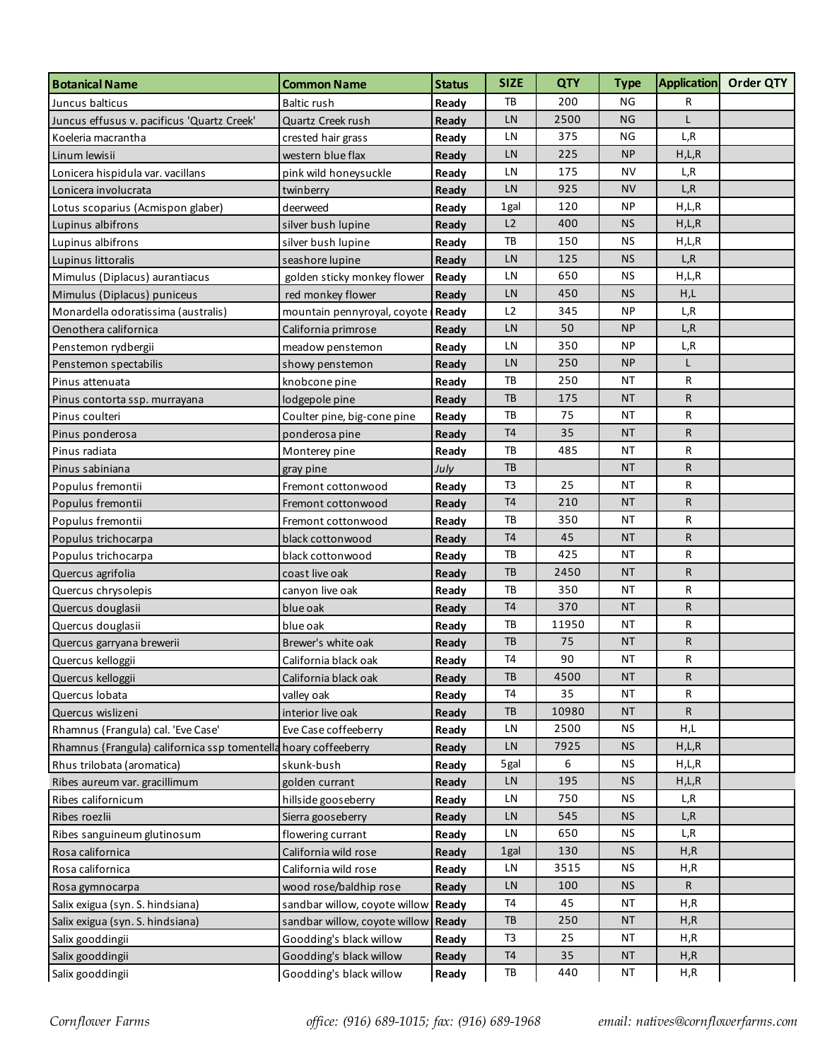| <b>Botanical Name</b>                                           | <b>Common Name</b>                  | <b>Status</b> | <b>SIZE</b>    | <b>QTY</b> | <b>Type</b> |       | Application Order QTY |
|-----------------------------------------------------------------|-------------------------------------|---------------|----------------|------------|-------------|-------|-----------------------|
| Juncus balticus                                                 | <b>Baltic rush</b>                  | Ready         | TB             | 200        | <b>NG</b>   | R     |                       |
| Juncus effusus v. pacificus 'Quartz Creek'                      | Quartz Creek rush                   | Ready         | LN             | 2500       | NG          | L     |                       |
| Koeleria macrantha                                              | crested hair grass                  | Ready         | LN             | 375        | ΝG          | L,R   |                       |
| Linum lewisii                                                   | western blue flax                   | Ready         | LN             | 225        | <b>NP</b>   | H,L,R |                       |
| Lonicera hispidula var. vacillans                               | pink wild honeysuckle               | Ready         | LN             | 175        | NV          | L,R   |                       |
| Lonicera involucrata                                            | twinberry                           | Ready         | LN             | 925        | <b>NV</b>   | L, R  |                       |
| Lotus scoparius (Acmispon glaber)                               | deerweed                            | Ready         | 1gal           | 120        | <b>NP</b>   | H,L,R |                       |
| Lupinus albifrons                                               | silver bush lupine                  | Ready         | L2             | 400        | <b>NS</b>   | H,L,R |                       |
| Lupinus albifrons                                               | silver bush lupine                  | Ready         | TB             | 150        | ΝS          | H,L,R |                       |
| Lupinus littoralis                                              | seashore lupine                     | Ready         | LN             | 125        | <b>NS</b>   | L, R  |                       |
| Mimulus (Diplacus) aurantiacus                                  | golden sticky monkey flower         | Ready         | LN             | 650        | <b>NS</b>   | H,L,R |                       |
| Mimulus (Diplacus) puniceus                                     | red monkey flower                   | Ready         | LN             | 450        | <b>NS</b>   | H,L   |                       |
| Monardella odoratissima (australis)                             | mountain pennyroyal, coyote         | Ready         | L2             | 345        | <b>NP</b>   | L,R   |                       |
| Oenothera californica                                           | California primrose                 | Ready         | LN             | 50         | <b>NP</b>   | L,R   |                       |
| Penstemon rydbergii                                             | meadow penstemon                    | Ready         | LN             | 350        | ΝP          | L,R   |                       |
| Penstemon spectabilis                                           | showy penstemon                     | Ready         | LN             | 250        | <b>NP</b>   | L     |                       |
| Pinus attenuata                                                 | knobcone pine                       | Ready         | TB             | 250        | ΝT          | R     |                       |
| Pinus contorta ssp. murrayana                                   | lodgepole pine                      | Ready         | TB             | 175        | <b>NT</b>   | R     |                       |
| Pinus coulteri                                                  | Coulter pine, big-cone pine         | Ready         | TB             | 75         | ΝT          | R     |                       |
| Pinus ponderosa                                                 | ponderosa pine                      | Ready         | <b>T4</b>      | 35         | <b>NT</b>   | R     |                       |
| Pinus radiata                                                   | Monterey pine                       | Ready         | TB             | 485        | ΝT          | R     |                       |
| Pinus sabiniana                                                 | gray pine                           | July          | TB             |            | <b>NT</b>   | R     |                       |
| Populus fremontii                                               | Fremont cottonwood                  | Ready         | T <sub>3</sub> | 25         | <b>NT</b>   | R     |                       |
| Populus fremontii                                               | Fremont cottonwood                  | Ready         | T <sub>4</sub> | 210        | <b>NT</b>   | R     |                       |
| Populus fremontii                                               | Fremont cottonwood                  | Ready         | TB             | 350        | ΝT          | R     |                       |
| Populus trichocarpa                                             | black cottonwood                    | Ready         | T <sub>4</sub> | 45         | <b>NT</b>   | R     |                       |
| Populus trichocarpa                                             | black cottonwood                    | Ready         | TB             | 425        | ΝT          | R     |                       |
| Quercus agrifolia                                               | coast live oak                      | Ready         | TB             | 2450       | <b>NT</b>   | R     |                       |
| Quercus chrysolepis                                             | canyon live oak                     | Ready         | TB             | 350        | ΝT          | R     |                       |
| Quercus douglasii                                               | blue oak                            | Ready         | T <sub>4</sub> | 370        | <b>NT</b>   | R     |                       |
| Quercus douglasii                                               | blue oak                            | Ready         | TB             | 11950      | ΝT          | R     |                       |
| Quercus garryana brewerii                                       | Brewer's white oak                  | Ready         | TB             | 75         | <b>NT</b>   | R     |                       |
| Quercus kelloggii                                               | California black oak                | Ready         | <b>T4</b>      | 90         | ΝT          | R     |                       |
| Quercus kelloggii                                               | California black oak                | Ready         | ТB             | 4500       | <b>NT</b>   | R     |                       |
| Quercus lobata                                                  | valley oak                          | Ready         | <b>T4</b>      | 35         | <b>NT</b>   | R     |                       |
| Quercus wislizeni                                               | interior live oak                   | Ready         | TB             | 10980      | <b>NT</b>   | R     |                       |
| Rhamnus (Frangula) cal. 'Eve Case'                              | Eve Case coffeeberry                | Ready         | LN             | 2500       | <b>NS</b>   | H,L   |                       |
| Rhamnus (Frangula) californica ssp tomentella hoary coffeeberry |                                     | Ready         | LN             | 7925       | <b>NS</b>   | H,L,R |                       |
| Rhus trilobata (aromatica)                                      | skunk-bush                          | Ready         | 5gal           | 6          | ΝS          | H,L,R |                       |
| Ribes aureum var. gracillimum                                   | golden currant                      | Ready         | LN             | 195        | <b>NS</b>   | H,L,R |                       |
| Ribes californicum                                              | hillside gooseberry                 | Ready         | LN             | 750        | <b>NS</b>   | L,R   |                       |
| Ribes roezlii                                                   | Sierra gooseberry                   | Ready         | LN             | 545        | <b>NS</b>   | L,R   |                       |
| Ribes sanguineum glutinosum                                     | flowering currant                   | Ready         | LN             | 650        | <b>NS</b>   | L,R   |                       |
| Rosa californica                                                | California wild rose                | Ready         | 1gal           | 130        | <b>NS</b>   | H, R  |                       |
| Rosa californica                                                | California wild rose                | Ready         | LN             | 3515       | ΝS          | H,R   |                       |
| Rosa gymnocarpa                                                 | wood rose/baldhip rose              | Ready         | LN             | 100        | <b>NS</b>   | R     |                       |
| Salix exigua (syn. S. hindsiana)                                | sandbar willow, coyote willow Ready |               | <b>T4</b>      | 45         | <b>NT</b>   | H, R  |                       |
| Salix exigua (syn. S. hindsiana)                                | sandbar willow, coyote willow Ready |               | TB             | 250        | <b>NT</b>   | H, R  |                       |
| Salix gooddingii                                                | Goodding's black willow             | Ready         | T <sub>3</sub> | 25         | <b>NT</b>   | H, R  |                       |
| Salix gooddingii                                                | Goodding's black willow             | Ready         | T <sub>4</sub> | 35         | <b>NT</b>   | H, R  |                       |
| Salix gooddingii                                                | Goodding's black willow             | Ready         | TB             | 440        | <b>NT</b>   | H,R   |                       |